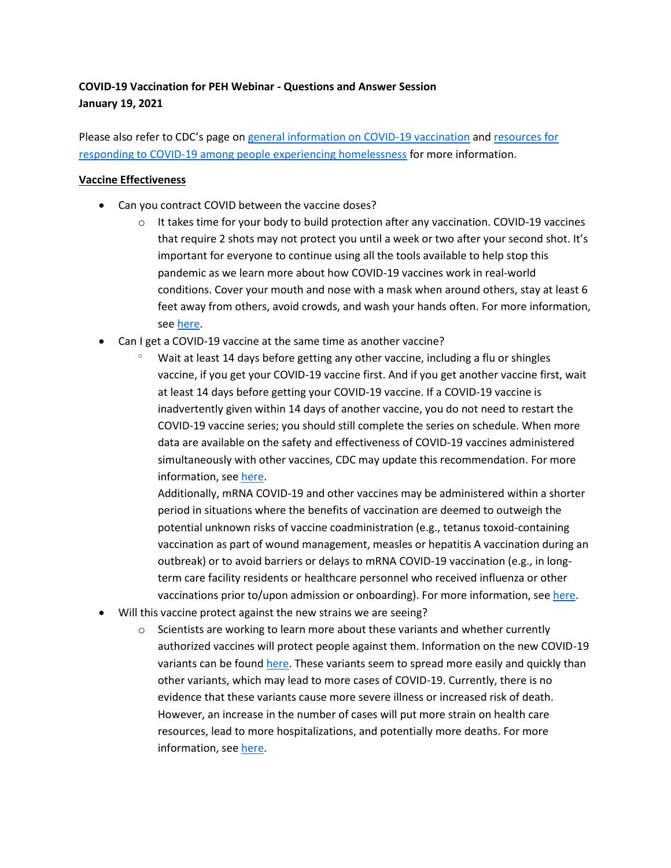# **COVID-19 Vaccination for PEH Webinar - Questions and Answer Session January 19, 2021**

Please also refer to CDC's page on [general information on COVID-19 vaccination](https://www.cdc.gov/vaccines/covid-19/index.html) an[d resources for](https://www.cdc.gov/coronavirus/2019-ncov/community/homeless-shelters/index.html)  [responding to COVID-19 among people experiencing homelessness](https://www.cdc.gov/coronavirus/2019-ncov/community/homeless-shelters/index.html) for more information.

### **Vaccine Effectiveness**

- Can you contract COVID between the vaccine doses?
	- It takes time for your body to build protection after any vaccination. COVID-19 vaccines that require 2 shots may not protect you until a week or two after your second shot. It's important for everyone to continue using all the tools available to help stop this pandemic as we learn more about how COVID-19 vaccines work in real-world conditions. Cover your mouth and nose with a mask when around others, stay at least 6 feet away from others, avoid crowds, and wash your hands often. For more information, se[e here.](https://www.cdc.gov/coronavirus/2019-ncov/vaccines/expect/after.html)
- Can I get a COVID-19 vaccine at the same time as another vaccine?
	- Wait at least 14 days before getting any other vaccine, including a flu or shingles vaccine, if you get your COVID-19 vaccine first. And if you get another vaccine first, wait at least 14 days before getting your COVID-19 vaccine. If a COVID-19 vaccine is inadvertently given within 14 days of another vaccine, you do not need to restart the COVID-19 vaccine series; you should still complete the series on schedule. When more data are available on the safety and effectiveness of COVID-19 vaccines administered simultaneously with other vaccines, CDC may update this recommendation. For more information, see [here.](https://www.cdc.gov/coronavirus/2019-ncov/vaccines/faq.html)

Additionally, mRNA COVID-19 and other vaccines may be administered within a shorter period in situations where the benefits of vaccination are deemed to outweigh the potential unknown risks of vaccine coadministration (e.g., tetanus toxoid-containing vaccination as part of wound management, measles or hepatitis A vaccination during an outbreak) or to avoid barriers or delays to mRNA COVID-19 vaccination (e.g., in longterm care facility residents or healthcare personnel who received influenza or other vaccinations prior to/upon admission or onboarding). For more information, see [here.](https://www.cdc.gov/vaccines/covid-19/info-by-product/clinical-considerations.html)

- Will this vaccine protect against the new strains we are seeing?
	- $\circ$  Scientists are working to learn more about these variants and whether currently authorized vaccines will protect people against them. Information on the new COVID-19 variants can be found [here.](https://www.cdc.gov/coronavirus/2019-ncov/transmission/variant.html) These variants seem to spread more easily and quickly than other variants, which may lead to more cases of COVID-19. Currently, there is no evidence that these variants cause more severe illness or increased risk of death. However, an increase in the number of cases will put more strain on health care resources, lead to more hospitalizations, and potentially more deaths. For more information, see [here.](https://www.cdc.gov/coronavirus/2019-ncov/transmission/variant.html)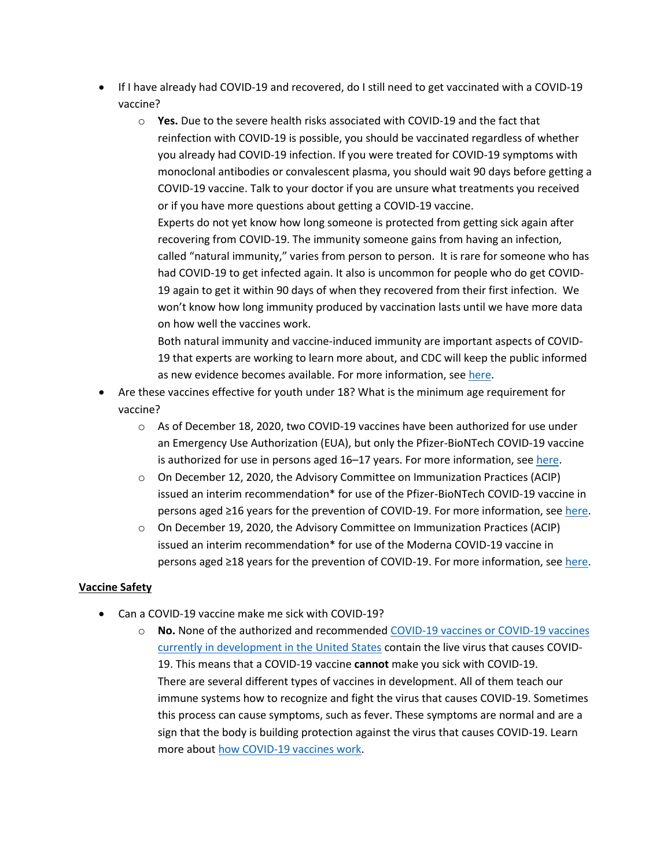- If I have already had COVID-19 and recovered, do I still need to get vaccinated with a COVID-19 vaccine?
	- o **Yes.** Due to the severe health risks associated with COVID-19 and the fact that reinfection with COVID-19 is possible, you should be vaccinated regardless of whether you already had COVID-19 infection. If you were treated for COVID-19 symptoms with monoclonal antibodies or convalescent plasma, you should wait 90 days before getting a COVID-19 vaccine. Talk to your doctor if you are unsure what treatments you received or if you have more questions about getting a COVID-19 vaccine. Experts do not yet know how long someone is protected from getting sick again after recovering from COVID-19. The immunity someone gains from having an infection, called "natural immunity," varies from person to person. It is rare for someone who has

had COVID-19 to get infected again. It also is uncommon for people who do get COVID-19 again to get it within 90 days of when they recovered from their first infection. We won't know how long immunity produced by vaccination lasts until we have more data on how well the vaccines work.

Both natural immunity and vaccine-induced immunity are important aspects of COVID-19 that experts are working to learn more about, and CDC will keep the public informed as new evidence becomes available. For more information, see [here.](https://www.cdc.gov/coronavirus/2019-ncov/vaccines/faq.html)

- Are these vaccines effective for youth under 18? What is the minimum age requirement for vaccine?
	- $\circ$  As of December 18, 2020, two COVID-19 vaccines have been authorized for use under an Emergency Use Authorization (EUA), but only the Pfizer-BioNTech COVID-19 vaccine is authorized for use in persons aged 16–17 years. For more information, se[e here.](https://www.cdc.gov/mmwr/volumes/69/wr/mm695152e2.htm)
	- $\circ$  On December 12, 2020, the Advisory Committee on Immunization Practices (ACIP) issued an interim recommendation\* for use of the Pfizer-BioNTech COVID-19 vaccine in persons aged ≥16 years for the prevention of COVID-19. For more information, see [here.](https://www.cdc.gov/mmwr/volumes/69/wr/mm6950e2.htm?s_cid=mm6950e2_w)
	- $\circ$  On December 19, 2020, the Advisory Committee on Immunization Practices (ACIP) issued an interim recommendation\* for use of the Moderna COVID-19 vaccine in persons aged ≥18 years for the prevention of COVID-19. For more information, see [here.](https://www.cdc.gov/mmwr/volumes/69/wr/mm695152e2.htm)

# **Vaccine Safety**

- Can a COVID-19 vaccine make me sick with COVID-19?
	- o **No.** None of the authorized and recommended [COVID-19 vaccines or COVID-19 vaccines](https://www.cdc.gov/coronavirus/2019-ncov/vaccines/different-vaccines.html)  [currently in development in the United States](https://www.cdc.gov/coronavirus/2019-ncov/vaccines/different-vaccines.html) contain the live virus that causes COVID-19. This means that a COVID-19 vaccine **cannot** make you sick with COVID-19. There are several different types of vaccines in development. All of them teach our immune systems how to recognize and fight the virus that causes COVID-19. Sometimes this process can cause symptoms, such as fever. These symptoms are normal and are a sign that the body is building protection against the virus that causes COVID-19. Learn more about [how COVID-19 vaccines work.](https://www.cdc.gov/coronavirus/2019-ncov/vaccines/different-vaccines/how-they-work.html?CDC_AA_refVal=https%3A%2F%2Fwww.cdc.gov%2Fcoronavirus%2F2019-ncov%2Fvaccines%2Fabout-vaccines%2Fhow-they-work.html)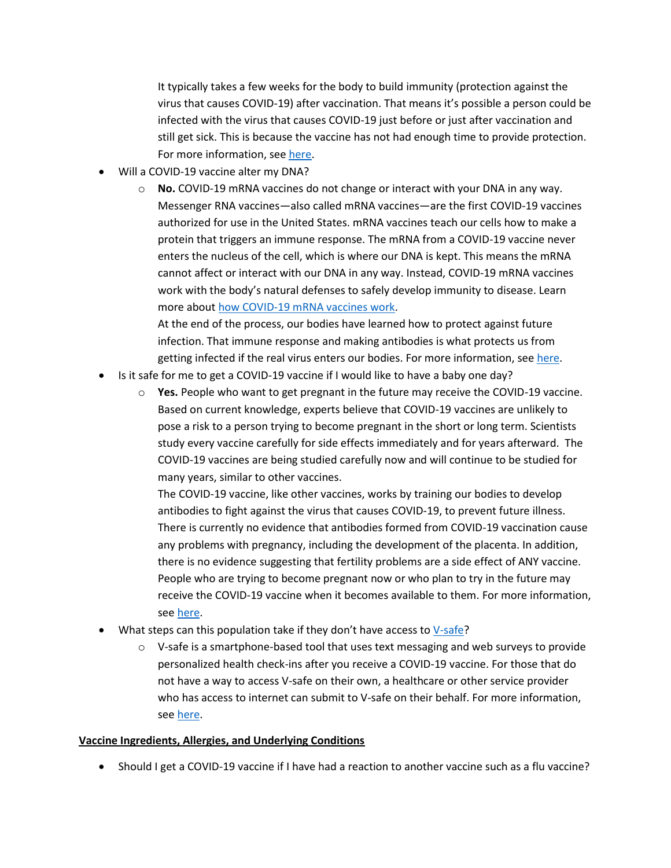It typically takes a few weeks for the body to build immunity (protection against the virus that causes COVID-19) after vaccination. That means it's possible a person could be infected with the virus that causes COVID-19 just before or just after vaccination and still get sick. This is because the vaccine has not had enough time to provide protection. For more information, se[e here.](https://www.cdc.gov/coronavirus/2019-ncov/vaccines/facts.html)

- Will a COVID-19 vaccine alter my DNA?
	- o **No.** COVID-19 mRNA vaccines do not change or interact with your DNA in any way. Messenger RNA vaccines—also called mRNA vaccines—are the first COVID-19 vaccines authorized for use in the United States. mRNA vaccines teach our cells how to make a protein that triggers an immune response. The mRNA from a COVID-19 vaccine never enters the nucleus of the cell, which is where our DNA is kept. This means the mRNA cannot affect or interact with our DNA in any way. Instead, COVID-19 mRNA vaccines work with the body's natural defenses to safely develop immunity to disease. Learn more about [how COVID-19 mRNA vaccines work.](https://www.cdc.gov/coronavirus/2019-ncov/vaccines/different-vaccines/mrna.html)

At the end of the process, our bodies have learned how to protect against future infection. That immune response and making antibodies is what protects us from getting infected if the real virus enters our bodies. For more information, see [here.](https://www.cdc.gov/coronavirus/2019-ncov/vaccines/facts.html)

- Is it safe for me to get a COVID-19 vaccine if I would like to have a baby one day?
	- o **Yes.** People who want to get pregnant in the future may receive the COVID-19 vaccine. Based on current knowledge, experts believe that COVID-19 vaccines are unlikely to pose a risk to a person trying to become pregnant in the short or long term. Scientists study every vaccine carefully for side effects immediately and for years afterward. The COVID-19 vaccines are being studied carefully now and will continue to be studied for many years, similar to other vaccines.

The COVID-19 vaccine, like other vaccines, works by training our bodies to develop antibodies to fight against the virus that causes COVID-19, to prevent future illness. There is currently no evidence that antibodies formed from COVID-19 vaccination cause any problems with pregnancy, including the development of the placenta. In addition, there is no evidence suggesting that fertility problems are a side effect of ANY vaccine. People who are trying to become pregnant now or who plan to try in the future may receive the COVID-19 vaccine when it becomes available to them. For more information, se[e here.](https://www.cdc.gov/coronavirus/2019-ncov/vaccines/facts.html)

- What steps can this population take if they don't have access to [V-safe?](https://www.cdc.gov/coronavirus/2019-ncov/vaccines/safety/vsafe.html)
	- $\circ$  V-safe is a smartphone-based tool that uses text messaging and web surveys to provide personalized health check-ins after you receive a COVID-19 vaccine. For those that do not have a way to access V-safe on their own, a healthcare or other service provider who has access to internet can submit to V-safe on their behalf. For more information, se[e here.](https://www.cdc.gov/coronavirus/2019-ncov/vaccines/safety/vsafe.html)

#### **Vaccine Ingredients, Allergies, and Underlying Conditions**

• Should I get a COVID-19 vaccine if I have had a reaction to another vaccine such as a flu vaccine?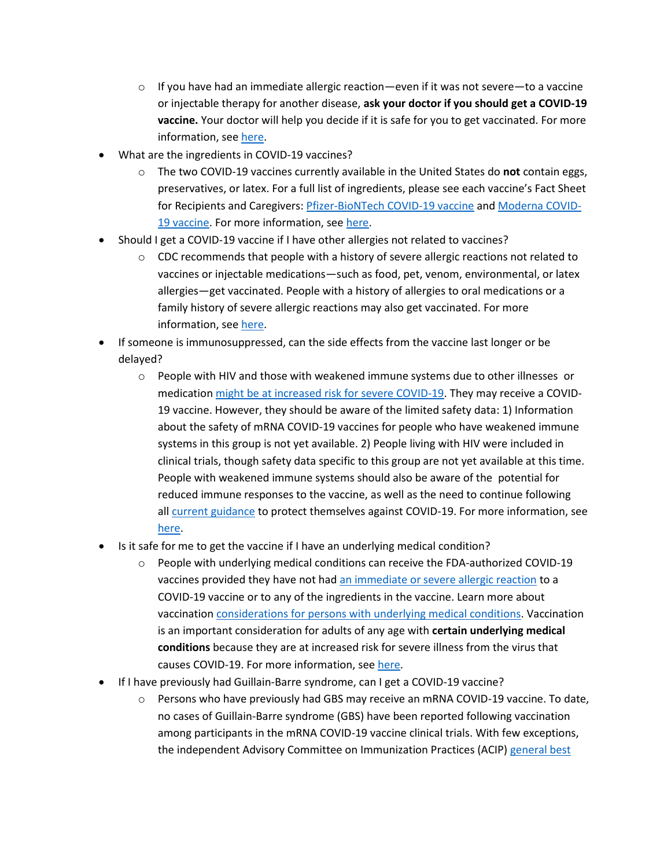- $\circ$  If you have had an immediate allergic reaction—even if it was not severe—to a vaccine or injectable therapy for another disease, **ask your doctor if you should get a COVID-19 vaccine.** Your doctor will help you decide if it is safe for you to get vaccinated. For more information, see [here.](https://www.cdc.gov/coronavirus/2019-ncov/vaccines/safety/allergic-reaction.html)
- What are the ingredients in COVID-19 vaccines?
	- o The two COVID-19 vaccines currently available in the United States do **not** contain eggs, preservatives, or latex. For a full list of ingredients, please see each vaccine's Fact Sheet for Recipients and Caregivers[: Pfizer-BioNTech COVID-19 vaccine](https://www.fda.gov/media/144414/download) an[d Moderna COVID-](https://www.fda.gov/media/144638/download)[19 vaccine.](https://www.fda.gov/media/144638/download) For more information, see [here.](https://www.cdc.gov/coronavirus/2019-ncov/vaccines/faq.html)
- Should I get a COVID-19 vaccine if I have other allergies not related to vaccines?
	- $\circ$  CDC recommends that people with a history of severe allergic reactions not related to vaccines or injectable medications—such as food, pet, venom, environmental, or latex allergies—get vaccinated. People with a history of allergies to oral medications or a family history of severe allergic reactions may also get vaccinated. For more information, see [here.](https://www.cdc.gov/coronavirus/2019-ncov/vaccines/safety/allergic-reaction.html)
- If someone is immunosuppressed, can the side effects from the vaccine last longer or be delayed?
	- $\circ$  People with HIV and those with weakened immune systems due to other illnesses or medication [might be at increased risk for severe COVID-19.](https://www.cdc.gov/coronavirus/2019-ncov/need-extra-precautions/people-with-medical-conditions.html) They may receive a COVID-19 vaccine. However, they should be aware of the limited safety data: 1) Information about the safety of mRNA COVID-19 vaccines for people who have weakened immune systems in this group is not yet available. 2) People living with HIV were included in clinical trials, though safety data specific to this group are not yet available at this time. People with weakened immune systems should also be aware of the potential for reduced immune responses to the vaccine, as well as the need to continue following all [current guidance](https://www.cdc.gov/coronavirus/2019-ncov/index.html) to protect themselves against COVID-19. For more information, see [here.](https://www.cdc.gov/coronavirus/2019-ncov/vaccines/recommendations/underlying-conditions.html)
- Is it safe for me to get the vaccine if I have an underlying medical condition?
	- $\circ$  People with underlying medical conditions can receive the FDA-authorized COVID-19 vaccines provided they have not had [an immediate or severe allergic reaction](https://www.cdc.gov/coronavirus/2019-ncov/vaccines/safety/allergic-reaction.html) to a COVID-19 vaccine or to any of the ingredients in the vaccine. Learn more about vaccinatio[n considerations for persons with underlying medical conditions.](https://www.cdc.gov/coronavirus/2019-ncov/vaccines/recommendations/underlying-conditions.html) Vaccination is an important consideration for adults of any age with **certain underlying medical conditions** because they are at increased risk for severe illness from the virus that causes COVID-19. For more information, se[e here.](https://www.cdc.gov/coronavirus/2019-ncov/vaccines/faq.html)
- If I have previously had Guillain-Barre syndrome, can I get a COVID-19 vaccine?
	- o Persons who have previously had GBS may receive an mRNA COVID-19 vaccine. To date, no cases of Guillain-Barre syndrome (GBS) have been reported following vaccination among participants in the mRNA COVID-19 vaccine clinical trials. With few exceptions, the independent Advisory Committee on Immunization Practices (ACIP[\) general best](https://www.cdc.gov/vaccines/hcp/acip-recs/general-recs/index.html)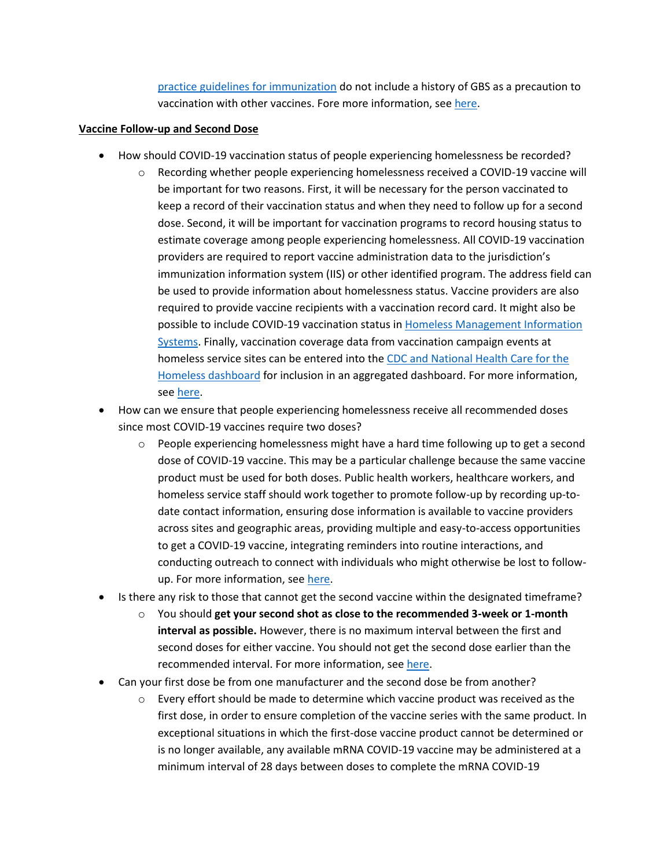[practice guidelines for immunization](https://www.cdc.gov/vaccines/hcp/acip-recs/general-recs/index.html) do not include a history of GBS as a precaution to vaccination with other vaccines. Fore more information, see [here.](https://www.cdc.gov/coronavirus/2019-ncov/vaccines/recommendations/underlying-conditions.html)

### **Vaccine Follow-up and Second Dose**

- How should COVID-19 vaccination status of people experiencing homelessness be recorded?
	- $\circ$  Recording whether people experiencing homelessness received a COVID-19 vaccine will be important for two reasons. First, it will be necessary for the person vaccinated to keep a record of their vaccination status and when they need to follow up for a second dose. Second, it will be important for vaccination programs to record housing status to estimate coverage among people experiencing homelessness. All COVID-19 vaccination providers are required to report vaccine administration data to the jurisdiction's immunization information system (IIS) or other identified program. The address field can be used to provide information about homelessness status. Vaccine providers are also required to provide vaccine recipients with a vaccination record card. It might also be possible to include COVID-19 vaccination status i[n Homeless Management Information](https://www.hudexchange.info/programs/hmis/)  [Systems.](https://www.hudexchange.info/programs/hmis/) Finally, vaccination coverage data from vaccination campaign events at homeless service sites can be entered into the [CDC and National Health Care for the](https://nhchc.org/cdc-covid-dashboard/home/)  [Homeless dashboard](https://nhchc.org/cdc-covid-dashboard/home/) for inclusion in an aggregated dashboard. For more information, se[e here.](https://www.cdc.gov/coronavirus/2019-ncov/community/homeless-shelters/vaccine-faqs.html)
- How can we ensure that people experiencing homelessness receive all recommended doses since most COVID-19 vaccines require two doses?
	- $\circ$  People experiencing homelessness might have a hard time following up to get a second dose of COVID-19 vaccine. This may be a particular challenge because the same vaccine product must be used for both doses. Public health workers, healthcare workers, and homeless service staff should work together to promote follow-up by recording up-todate contact information, ensuring dose information is available to vaccine providers across sites and geographic areas, providing multiple and easy-to-access opportunities to get a COVID-19 vaccine, integrating reminders into routine interactions, and conducting outreach to connect with individuals who might otherwise be lost to followup. For more information, se[e here.](https://www.cdc.gov/coronavirus/2019-ncov/community/homeless-shelters/vaccine-faqs.html)
- Is there any risk to those that cannot get the second vaccine within the designated timeframe?
	- o You should **get your second shot as close to the recommended 3-week or 1-month interval as possible.** However, there is no maximum interval between the first and second doses for either vaccine. You should not get the second dose earlier than the recommended interval. For more information, see [here.](https://www.cdc.gov/coronavirus/2019-ncov/vaccines/expect/after.html)
- Can your first dose be from one manufacturer and the second dose be from another?
	- $\circ$  Every effort should be made to determine which vaccine product was received as the first dose, in order to ensure completion of the vaccine series with the same product. In exceptional situations in which the first-dose vaccine product cannot be determined or is no longer available, any available mRNA COVID-19 vaccine may be administered at a minimum interval of 28 days between doses to complete the mRNA COVID-19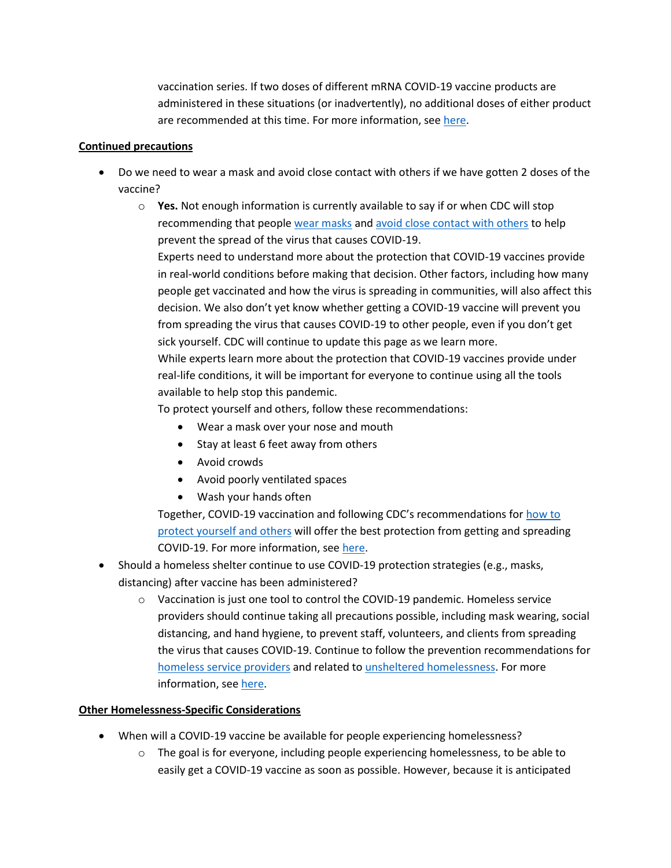vaccination series. If two doses of different mRNA COVID-19 vaccine products are administered in these situations (or inadvertently), no additional doses of either product are recommended at this time. For more information, see [here.](https://www.cdc.gov/vaccines/covid-19/info-by-product/clinical-considerations.html)

### **Continued precautions**

- Do we need to wear a mask and avoid close contact with others if we have gotten 2 doses of the vaccine?
	- o **Yes.** Not enough information is currently available to say if or when CDC will stop recommending that peopl[e wear masks](https://www.cdc.gov/coronavirus/2019-ncov/prevent-getting-sick/diy-cloth-face-coverings.html) and [avoid close contact with others](https://www.cdc.gov/coronavirus/2019-ncov/prevent-getting-sick/social-distancing.html) to help prevent the spread of the virus that causes COVID-19.

Experts need to understand more about the protection that COVID-19 vaccines provide in real-world conditions before making that decision. Other factors, including how many people get vaccinated and how the virus is spreading in communities, will also affect this decision. We also don't yet know whether getting a COVID-19 vaccine will prevent you from spreading the virus that causes COVID-19 to other people, even if you don't get sick yourself. CDC will continue to update this page as we learn more. While experts learn more about the protection that COVID-19 vaccines provide under real-life conditions, it will be important for everyone to continue using all the tools

To protect yourself and others, follow these recommendations:

- Wear a mask over your nose and mouth
- Stay at least 6 feet away from others
- Avoid crowds
- Avoid poorly ventilated spaces
- Wash your hands often

available to help stop this pandemic.

Together, COVID-19 vaccination and following CDC's recommendations for [how to](https://www.cdc.gov/coronavirus/2019-ncov/prevent-getting-sick/prevention.html)  [protect yourself and others](https://www.cdc.gov/coronavirus/2019-ncov/prevent-getting-sick/prevention.html) will offer the best protection from getting and spreading COVID-19. For more information, se[e here.](https://www.cdc.gov/coronavirus/2019-ncov/vaccines/faq.html)

- Should a homeless shelter continue to use COVID-19 protection strategies (e.g., masks, distancing) after vaccine has been administered?
	- o Vaccination is just one tool to control the COVID-19 pandemic. Homeless service providers should continue taking all precautions possible, including mask wearing, social distancing, and hand hygiene, to prevent staff, volunteers, and clients from spreading the virus that causes COVID-19. Continue to follow the prevention recommendations for [homeless service providers](https://www.cdc.gov/coronavirus/2019-ncov/community/homeless-shelters/plan-prepare-respond.html) and related to [unsheltered homelessness.](https://www.cdc.gov/coronavirus/2019-ncov/community/homeless-shelters/unsheltered-homelessness.html) For more information, see [here.](https://www.cdc.gov/coronavirus/2019-ncov/community/homeless-shelters/vaccine-faqs.html)

# **Other Homelessness-Specific Considerations**

- When will a COVID-19 vaccine be available for people experiencing homelessness?
	- $\circ$  The goal is for everyone, including people experiencing homelessness, to be able to easily get a COVID-19 vaccine as soon as possible. However, because it is anticipated